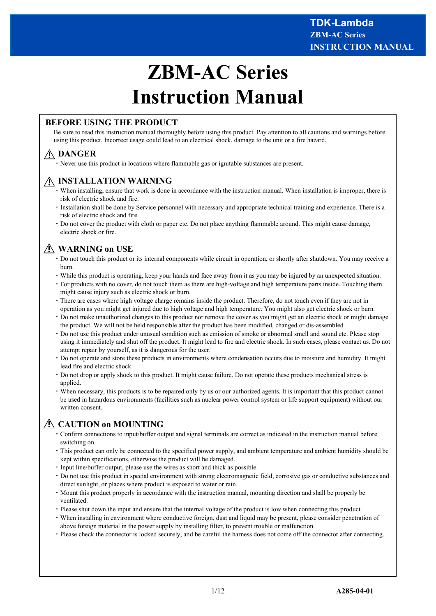# **ZBM-AC Series Instruction Manual**

# **BEFORE USING THE PRODUCT**

Be sure to read this instruction manual thoroughly before using this product. Pay attention to all cautions and warnings before using this product. Incorrect usage could lead to an electrical shock, damage to the unit or a fire hazard.

# **DANGER**

・Never use this product in locations where flammable gas or ignitable substances are present.

# **INSTALLATION WARNING**

- ・When installing, ensure that work is done in accordance with the instruction manual. When installation is improper, there is risk of electric shock and fire.
- ・Installation shall be done by Service personnel with necessary and appropriate technical training and experience. There is a risk of electric shock and fire.
- ・Do not cover the product with cloth or paper etc. Do not place anything flammable around. This might cause damage, electric shock or fire.

# **WARNING on USE**

- ・Do not touch this product or its internal components while circuit in operation, or shortly after shutdown. You may receive a burn.
- ・While this product is operating, keep your hands and face away from it as you may be injured by an unexpected situation.
- ・For products with no cover, do not touch them as there are high-voltage and high temperature parts inside. Touching them might cause injury such as electric shock or burn.
- ・There are cases where high voltage charge remains inside the product. Therefore, do not touch even if they are not in operation as you might get injured due to high voltage and high temperature. You might also get electric shock or burn.
- Do not make unauthorized changes to this product nor remove the cover as you might get an electric shock or might damage the product. We will not be held responsible after the product has been modified, changed or dis-assembled.
- ・Do not use this product under unusual condition such as emission of smoke or abnormal smell and sound etc. Please stop using it immediately and shut off the product. It might lead to fire and electric shock. In such cases, please contact us. Do not attempt repair by yourself, as it is dangerous for the user.
- ・Do not operate and store these products in environments where condensation occurs due to moisture and humidity. It might lead fire and electric shock.
- ・Do not drop or apply shock to this product. It might cause failure. Do not operate these products mechanical stress is applied.
- ・When necessary, this products is to be repaired only by us or our authorized agents. It is important that this product cannot be used in hazardous environments (facilities such as nuclear power control system or life support equipment) without our written consent.

# **CAUTION on MOUNTING**

- ・Confirm connections to input/buffer output and signal terminals are correct as indicated in the instruction manual before switching on.
- ・This product can only be connected to the specified power supply, and ambient temperature and ambient humidity should be kept within specifications, otherwise the product will be damaged.
- ・Input line/buffer output, please use the wires as short and thick as possible.
- ・Do not use this product in special environment with strong electromagnetic field, corrosive gas or conductive substances and direct sunlight, or places where product is exposed to water or rain.
- ・Mount this product properly in accordance with the instruction manual, mounting direction and shall be properly be ventilated.
- ・Please shut down the input and ensure that the internal voltage of the product is low when connecting this product.
- ・When installing in environment where conductive foreign, dust and liquid may be present, please consider penetration of above foreign material in the power supply by installing filter, to prevent trouble or malfunction.
- ・Please check the connector is locked securely, and be careful the harness does not come off the connector after connecting.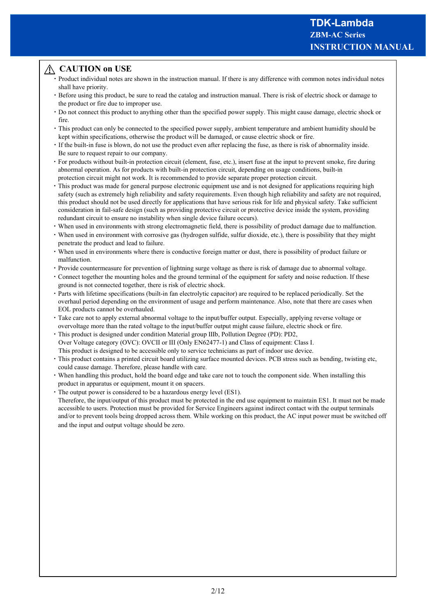# **CAUTION on USE**

- ・Product individual notes are shown in the instruction manual. If there is any difference with common notes individual notes shall have priority.
- ・Before using this product, be sure to read the catalog and instruction manual. There is risk of electric shock or damage to the product or fire due to improper use.
- ・Do not connect this product to anything other than the specified power supply. This might cause damage, electric shock or fire.
- ・This product can only be connected to the specified power supply, ambient temperature and ambient humidity should be kept within specifications, otherwise the product will be damaged, or cause electric shock or fire.
- ・If the built-in fuse is blown, do not use the product even after replacing the fuse, as there is risk of abnormality inside. Be sure to request repair to our company.
- ・For products without built-in protection circuit (element, fuse, etc.), insert fuse at the input to prevent smoke, fire during abnormal operation. As for products with built-in protection circuit, depending on usage conditions, built-in protection circuit might not work. It is recommended to provide separate proper protection circuit.
- ・This product was made for general purpose electronic equipment use and is not designed for applications requiring high safety (such as extremely high reliability and safety requirements. Even though high reliability and safety are not required, this product should not be used directly for applications that have serious risk for life and physical safety. Take sufficient consideration in fail-safe design (such as providing protective circuit or protective device inside the system, providing redundant circuit to ensure no instability when single device failure occurs).
- ・When used in environments with strong electromagnetic field, there is possibility of product damage due to malfunction.
- ・When used in environment with corrosive gas (hydrogen sulfide, sulfur dioxide, etc.), there is possibility that they might penetrate the product and lead to failure.
- ・When used in environments where there is conductive foreign matter or dust, there is possibility of product failure or malfunction.
- ・Provide countermeasure for prevention of lightning surge voltage as there is risk of damage due to abnormal voltage.
- ・Connect together the mounting holes and the ground terminal of the equipment for safety and noise reduction. If these ground is not connected together, there is risk of electric shock.
- ・Parts with lifetime specifications (built-in fan electrolytic capacitor) are required to be replaced periodically. Set the overhaul period depending on the environment of usage and perform maintenance. Also, note that there are cases when EOL products cannot be overhauled.
- ・Take care not to apply external abnormal voltage to the input/buffer output. Especially, applying reverse voltage or overvoltage more than the rated voltage to the input/buffer output might cause failure, electric shock or fire.
- ・This product is designed under condition Material group Ⅲb, Pollution Degree (PD): PD2, Over Voltage category (OVC): OVCII or III (Only EN62477-1) and Class of equipment: Class Ⅰ. This product is designed to be accessible only to service technicians as part of indoor use device.
- ・This product contains a printed circuit board utilizing surface mounted devices. PCB stress such as bending, twisting etc, could cause damage. Therefore, please handle with care.
- ・When handling this product, hold the board edge and take care not to touch the component side. When installing this product in apparatus or equipment, mount it on spacers.
- ・The output power is considered to be a hazardous energy level (ES1).

 Therefore, the input/output of this product must be protected in the end use equipment to maintain ES1. It must not be made accessible to users. Protection must be provided for Service Engineers against indirect contact with the output terminals and/or to prevent tools being dropped across them. While working on this product, the AC input power must be switched off and the input and output voltage should be zero.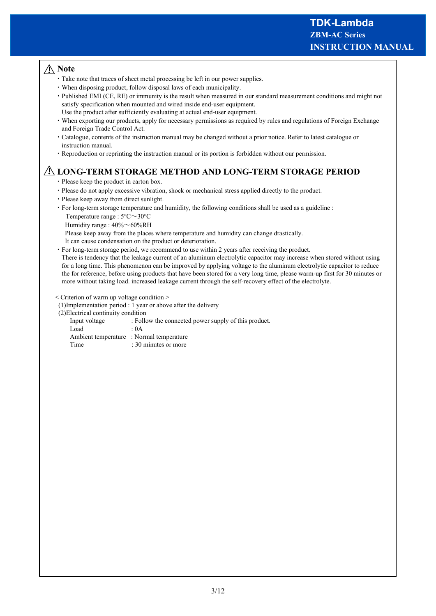# **Note**

- ・Take note that traces of sheet metal processing be left in our power supplies.
- ・When disposing product, follow disposal laws of each municipality.
- ・Published EMI (CE, RE) or immunity is the result when measured in our standard measurement conditions and might not satisfy specification when mounted and wired inside end-user equipment. Use the product after sufficiently evaluating at actual end-user equipment.
- ・When exporting our products, apply for necessary permissions as required by rules and regulations of Foreign Exchange and Foreign Trade Control Act.
- ・Catalogue, contents of the instruction manual may be changed without a prior notice. Refer to latest catalogue or instruction manual.
- ・Reproduction or reprinting the instruction manual or its portion is forbidden without our permission.

# **LONG-TERM STORAGE METHOD AND LONG-TERM STORAGE PERIOD**

- ・Please keep the product in carton box.
- ・Please do not apply excessive vibration, shock or mechanical stress applied directly to the product.
- ・Please keep away from direct sunlight.
- ・For long-term storage temperature and humidity, the following conditions shall be used as a guideline :
	- Temperature range : 5℃~30℃
	- Humidity range :  $40\% \sim 60\% RH$
	- Please keep away from the places where temperature and humidity can change drastically.
	- It can cause condensation on the product or deterioration.
- ・For long-term storage period, we recommend to use within 2 years after receiving the product. There is tendency that the leakage current of an aluminum electrolytic capacitor may increase when stored without using for a long time. This phenomenon can be improved by applying voltage to the aluminum electrolytic capacitor to reduce the for reference, before using products that have been stored for a very long time, please warm-up first for 30 minutes or more without taking load. increased leakage current through the self-recovery effect of the electrolyte.

< Criterion of warm up voltage condition >

(1)Implementation period : 1 year or above after the delivery

(2)Electrical continuity condition

| Input voltage | : Follow the connected power supply of this product. |
|---------------|------------------------------------------------------|
| Load          | $\div 0A$                                            |
|               | Ambient temperature : Normal temperature             |
| Time          | : 30 minutes or more                                 |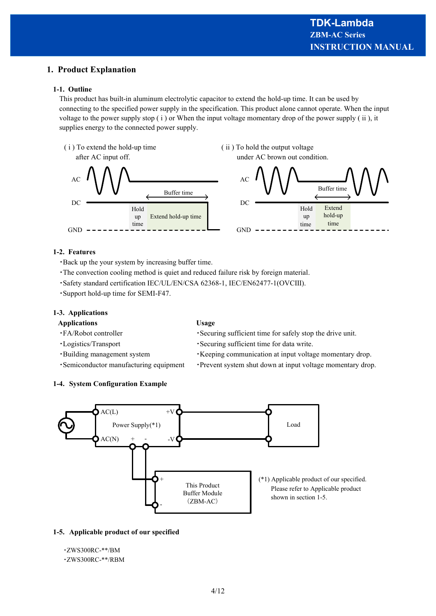# **1. Product Explanation**

## **1-1. Outline**

This product has built-in aluminum electrolytic capacitor to extend the hold-up time. It can be used by connecting to the specified power supply in the specification. This product alone cannot operate. When the input voltage to the power supply stop ( i ) or When the input voltage momentary drop of the power supply ( ii ), it supplies energy to the connected power supply.



## **1-2. Features**

- ・Back up the your system by increasing buffer time.
- ・The convection cooling method is quiet and reduced failure risk by foreign material.
- ・Safety standard certification IEC/UL/EN/CSA 62368-1, IEC/EN62477-1(OVCⅢ).
- ・Support hold-up time for SEMI-F47.

**1-4. System Configuration Example**

## **1-3. Applications**

#### **Applications Usage**

- 
- ・FA/Robot controller ・Securing sufficient time for safely stop the drive unit.
- ・Logistics/Transport ・Securing sufficient time for data write.
- ・Building management system ・Keeping communication at input voltage momentary drop.
- ・Semiconductor manufacturing equipment ・Prevent system shut down at input voltage momentary drop.



## **1-5. Applicable product of our specified**

#### ・ZWS300RC-\*\*/BM

・ZWS300RC-\*\*/RBM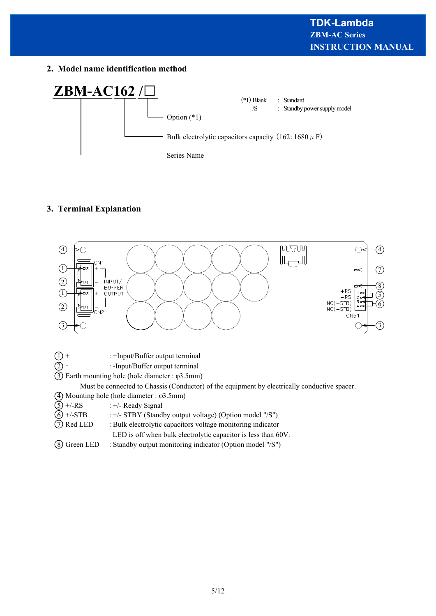**2. Model name identification method**



# **3. Terminal Explanation**



| $\textcircled{1}$ + | : +Input/Buffer output terminal |  |
|---------------------|---------------------------------|--|
|                     |                                 |  |

2 ‐ : -Input/Buffer output terminal

3 Earth mounting hole (hole diameter : φ3.5mm)

Must be connected to Chassis (Conductor) of the equipment by electrically conductive spacer.

- 4 Mounting hole (hole diameter : φ3.5mm)
- $(5)$  +/-RS : +/- Ready Signal
- $\textcircled{6}$  +/-STB : +/- STBY (Standby output voltage) (Option model "/S")
- 7 Red LED : Bulk electrolytic capacitors voltage monitoring indicator
	- LED is off when bulk electrolytic capacitor is less than 60V.
- 8 Green LED : Standby output monitoring indicator (Option model "/S")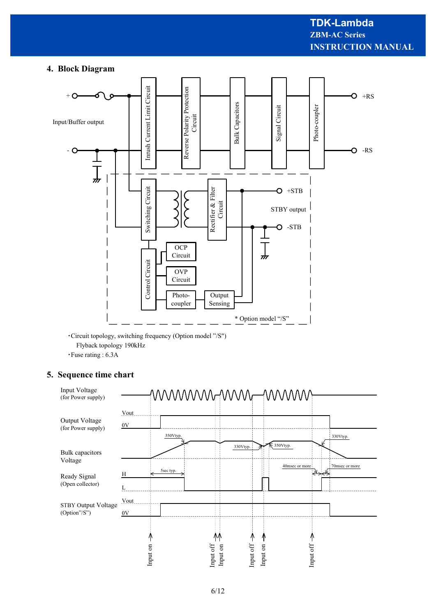## **4. Block Diagram**



・Circuit topology, switching frequency (Option model "/S") Flyback topology 190kHz

・Fuse rating : 6.3A

# **5. Sequence time chart**

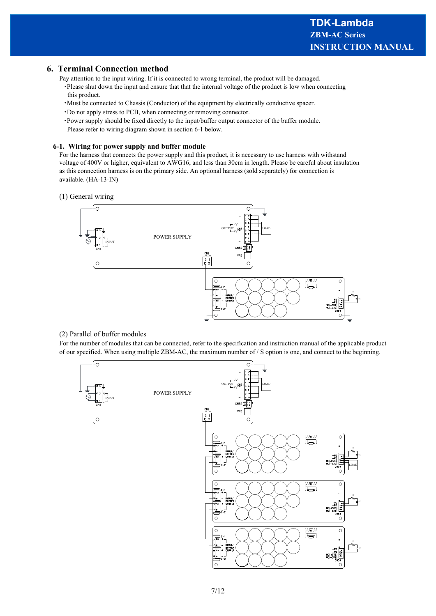## **6. Terminal Connection method**

Pay attention to the input wiring. If it is connected to wrong terminal, the product will be damaged. ・Please shut down the input and ensure that that the internal voltage of the product is low when connecting this product.

- ・Must be connected to Chassis (Conductor) of the equipment by electrically conductive spacer.
- ・Do not apply stress to PCB, when connecting or removing connector.
- ・Power supply should be fixed directly to the input/buffer output connector of the buffer module. Please refer to wiring diagram shown in section 6-1 below.

#### **6-1. Wiring for power supply and buffer module**

For the harness that connects the power supply and this product, it is necessary to use harness with withstand voltage of 400V or higher, equivalent to AWG16, and less than 30cm in length. Please be careful about insulation as this connection harness is on the primary side. An optional harness (sold separately) for connection is available. (HA-13-IN)

(1) General wiring



#### (2) Parallel of buffer modules

For the number of modules that can be connected, refer to the specification and instruction manual of the applicable product of our specified. When using multiple ZBM-AC, the maximum number of / S option is one, and connect to the beginning.

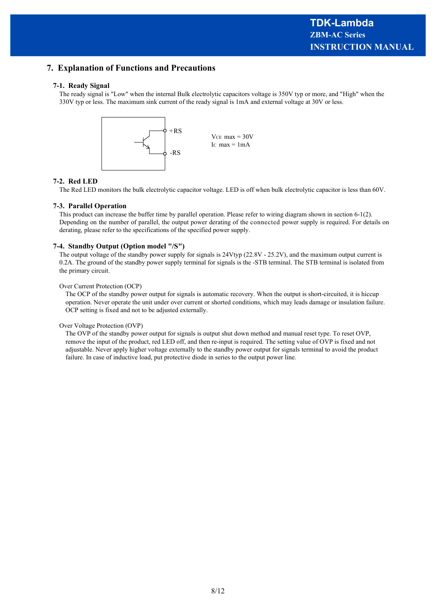# **7. Explanation of Functions and Precautions**

#### **7-1. Ready Signal**

The ready signal is "Low" when the internal Bulk electrolytic capacitors voltage is 350V typ or more, and "High" when the 330V typ or less. The maximum sink current of the ready signal is 1mA and external voltage at 30V or less.



#### **7-2. Red LED**

The Red LED monitors the bulk electrolytic capacitor voltage. LED is off when bulk electrolytic capacitor is less than 60V.

#### **7-3. Parallel Operation**

This product can increase the buffer time by parallel operation. Please refer to wiring diagram shown in section 6-1(2). Depending on the number of parallel, the output power derating of the connected power supply is required. For details on derating, please refer to the specifications of the specified power supply.

#### **7-4. Standby Output (Option model "/S")**

The output voltage of the standby power supply for signals is 24Vtyp (22.8V - 25.2V), and the maximum output current is 0.2A. The ground of the standby power supply terminal for signals is the -STB terminal. The STB terminal is isolated from the primary circuit.

#### Over Current Protection (OCP)

The OCP of the standby power output for signals is automatic recovery. When the output is short-circuited, it is hiccup operation. Never operate the unit under over current or shorted conditions, which may leads damage or insulation failure. OCP setting is fixed and not to be adjusted externally.

#### Over Voltage Protection (OVP)

The OVP of the standby power output for signals is output shut down method and manual reset type. To reset OVP, remove the input of the product, red LED off, and then re-input is required. The setting value of OVP is fixed and not adjustable. Never apply higher voltage externally to the standby power output for signals terminal to avoid the product failure. In case of inductive load, put protective diode in series to the output power line.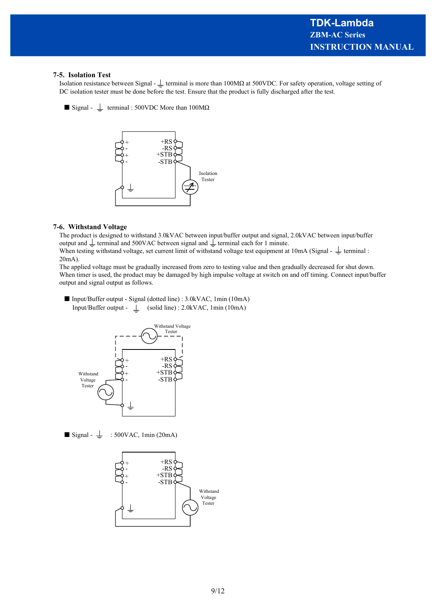#### **7-5. Isolation Test**

Isolation resistance between Signal -  $\perp$  terminal is more than 100MΩ at 500VDC. For safety operation, voltage setting of DC isolation tester must be done before the test. Ensure that the product is fully discharged after the test.

 $\blacksquare$  Signal -  $\perp$  terminal : 500VDC More than 100M $\Omega$ 



#### **7-6. Withstand Voltage**

The product is designed to withstand 3.0kVAC between input/buffer output and signal, 2.0kVAC between input/buffer output and  $\perp$  terminal and 500VAC between signal and  $\perp$  terminal each for 1 minute. When testing withstand voltage, set current limit of withstand voltage test equipment at  $10$ mA (Signal -  $\frac{1}{2}$  terminal :

20mA).

The applied voltage must be gradually increased from zero to testing value and then gradually decreased for shut down. When timer is used, the product may be damaged by high impulse voltage at switch on and off timing. Connect input/buffer output and signal output as follows.

■ Input/Buffer output - Signal (dotted line) : 3.0kVAC, 1min (10mA) Input/Buffer output -  $\perp$  (solid line) : 2.0kVAC, 1min (10mA)



 $\blacksquare$  Signal -  $\perp$  : 500VAC, 1min (20mA)

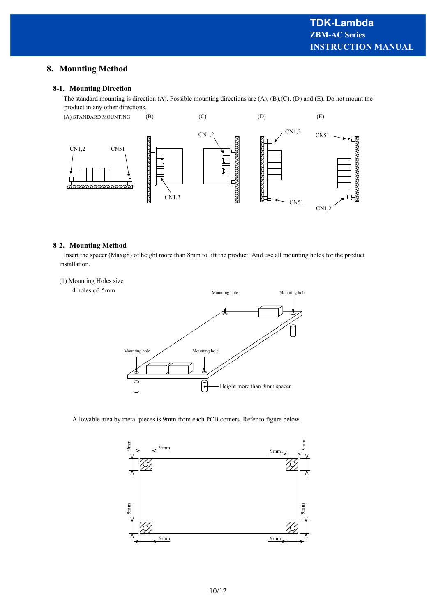# **8. Mounting Method**

#### **8-1. Mounting Direction**

The standard mounting is direction (A). Possible mounting directions are (A), (B),(C), (D) and (E). Do not mount the product in any other directions.



#### **8-2. Mounting Method**

Insert the spacer (Maxφ8) of height more than 8mm to lift the product. And use all mounting holes for the product installation.



Allowable area by metal pieces is 9mm from each PCB corners. Refer to figure below.

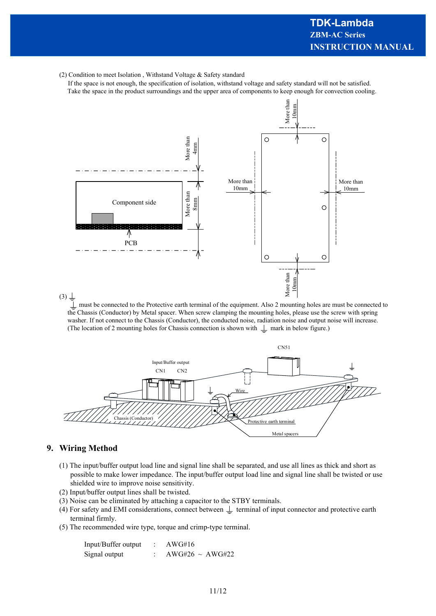(2) Condition to meet Isolation , Withstand Voltage & Safety standard

 If the space is not enough, the specification of isolation, withstand voltage and safety standard will not be satisfied. Take the space in the product surroundings and the upper area of components to keep enough for convection cooling.



 must be connected to the Protective earth terminal of the equipment. Also 2 mounting holes are must be connected to the Chassis (Conductor) by Metal spacer. When screw clamping the mounting holes, please use the screw with spring washer. If not connect to the Chassis (Conductor), the conducted noise, radiation noise and output noise will increase. (The location of 2 mounting holes for Chassis connection is shown with  $\perp$  mark in below figure.)



# **9. Wiring Method**

- (1) The input/buffer output load line and signal line shall be separated, and use all lines as thick and short as possible to make lower impedance. The input/buffer output load line and signal line shall be twisted or use shielded wire to improve noise sensitivity.
- (2) Input/buffer output lines shall be twisted.
- (3) Noise can be eliminated by attaching a capacitor to the STBY terminals.
- (4) For safety and EMI considerations, connect between  $\perp$  terminal of input connector and protective earth terminal firmly.
- (5) The recommended wire type, torque and crimp-type terminal.

| Input/Buffer output | AWG#16               |
|---------------------|----------------------|
| Signal output       | $AWG#26 \sim AWG#22$ |